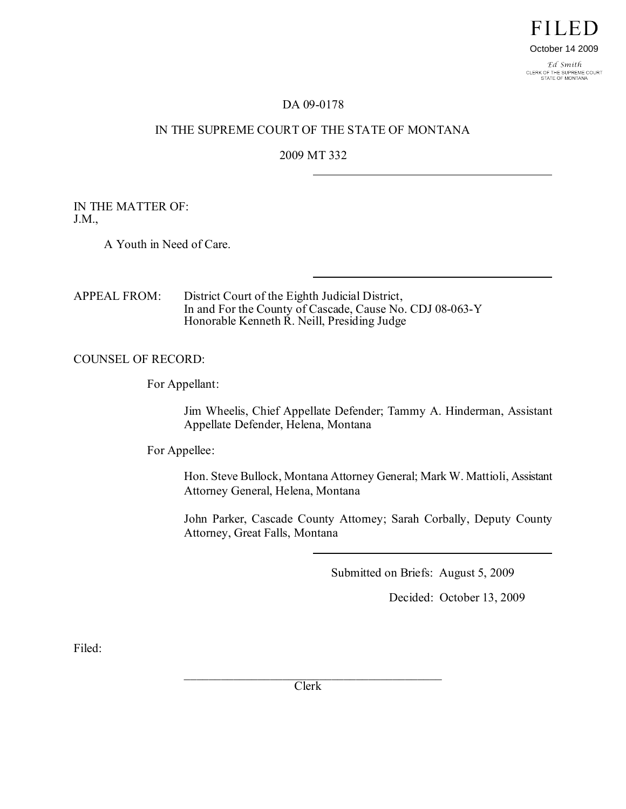# DA 09-0178

# IN THE SUPREME COURT OF THE STATE OF MONTANA

# 2009 MT 332

#### IN THE MATTER OF: J.M.,

A Youth in Need of Care.

APPEAL FROM: District Court of the Eighth Judicial District, In and For the County of Cascade, Cause No. CDJ 08-063-Y Honorable Kenneth R. Neill, Presiding Judge

### COUNSEL OF RECORD:

For Appellant:

Jim Wheelis, Chief Appellate Defender; Tammy A. Hinderman, Assistant Appellate Defender, Helena, Montana

For Appellee:

Hon. Steve Bullock, Montana Attorney General; Mark W. Mattioli, Assistant Attorney General, Helena, Montana

John Parker, Cascade County Attorney; Sarah Corbally, Deputy County Attorney, Great Falls, Montana

Submitted on Briefs: August 5, 2009

Decided: October 13, 2009

Filed:

 $\mathcal{L}_\mathcal{L}$  , where  $\mathcal{L}_\mathcal{L}$  is the set of the set of the set of the set of the set of the set of the set of the set of the set of the set of the set of the set of the set of the set of the set of the set of the Clerk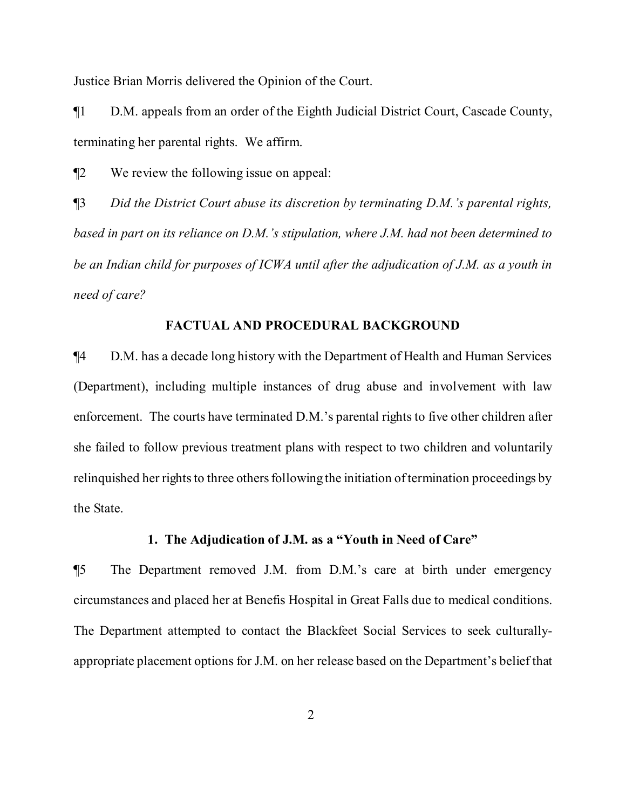Justice Brian Morris delivered the Opinion of the Court.

¶1 D.M. appeals from an order of the Eighth Judicial District Court, Cascade County, terminating her parental rights. We affirm.

¶2 We review the following issue on appeal:

¶3 *Did the District Court abuse its discretion by terminating D.M.'s parental rights, based in part on its reliance on D.M.'s stipulation, where J.M. had not been determined to be an Indian child for purposes of ICWA until after the adjudication of J.M. as a youth in need of care?*

### **FACTUAL AND PROCEDURAL BACKGROUND**

¶4 D.M. has a decade long history with the Department of Health and Human Services (Department), including multiple instances of drug abuse and involvement with law enforcement. The courts have terminated D.M.'s parental rights to five other children after she failed to follow previous treatment plans with respect to two children and voluntarily relinguished her rights to three others following the initiation of termination proceedings by the State.

# **1. The Adjudication of J.M. as a "Youth in Need of Care"**

¶5 The Department removed J.M. from D.M.'s care at birth under emergency circumstances and placed her at Benefis Hospital in Great Falls due to medical conditions. The Department attempted to contact the Blackfeet Social Services to seek culturallyappropriate placement options for J.M. on her release based on the Department's belief that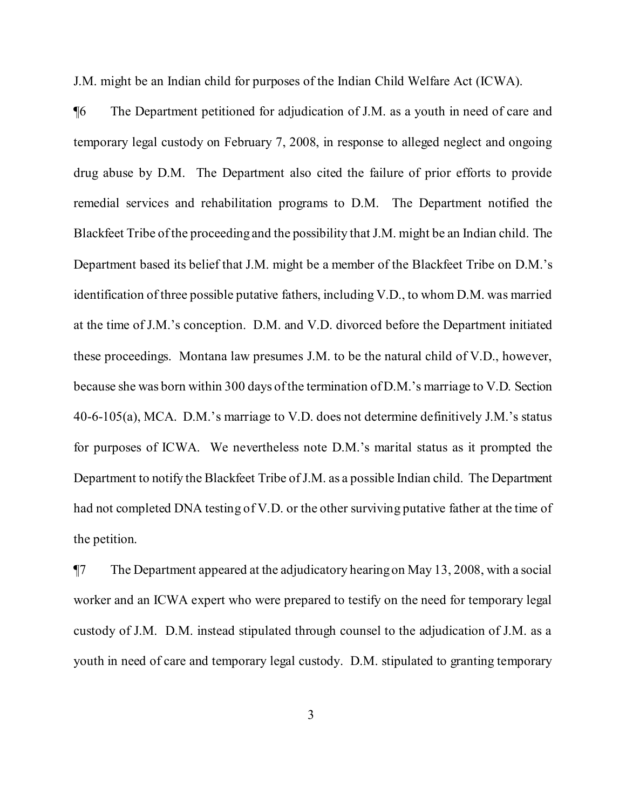J.M. might be an Indian child for purposes of the Indian Child Welfare Act (ICWA).

¶6 The Department petitioned for adjudication of J.M. as a youth in need of care and temporary legal custody on February 7, 2008, in response to alleged neglect and ongoing drug abuse by D.M. The Department also cited the failure of prior efforts to provide remedial services and rehabilitation programs to D.M. The Department notified the Blackfeet Tribe ofthe proceeding and the possibility that J.M. might be an Indian child. The Department based its belief that J.M. might be a member of the Blackfeet Tribe on D.M.'s identification of three possible putative fathers, including V.D., to whom D.M. was married at the time of J.M.'s conception. D.M. and V.D. divorced before the Department initiated these proceedings. Montana law presumes J.M. to be the natural child of V.D., however, because she was born within 300 days ofthe termination of D.M.'s marriage to V.D. Section 40-6-105(a), MCA. D.M.'s marriage to V.D. does not determine definitively J.M.'s status for purposes of ICWA. We nevertheless note D.M.'s marital status as it prompted the Department to notify the Blackfeet Tribe of J.M. as a possible Indian child. The Department had not completed DNA testing of V.D. or the other surviving putative father at the time of the petition.

¶7 The Department appeared at the adjudicatory hearing on May 13, 2008, with a social worker and an ICWA expert who were prepared to testify on the need for temporary legal custody of J.M. D.M. instead stipulated through counsel to the adjudication of J.M. as a youth in need of care and temporary legal custody. D.M. stipulated to granting temporary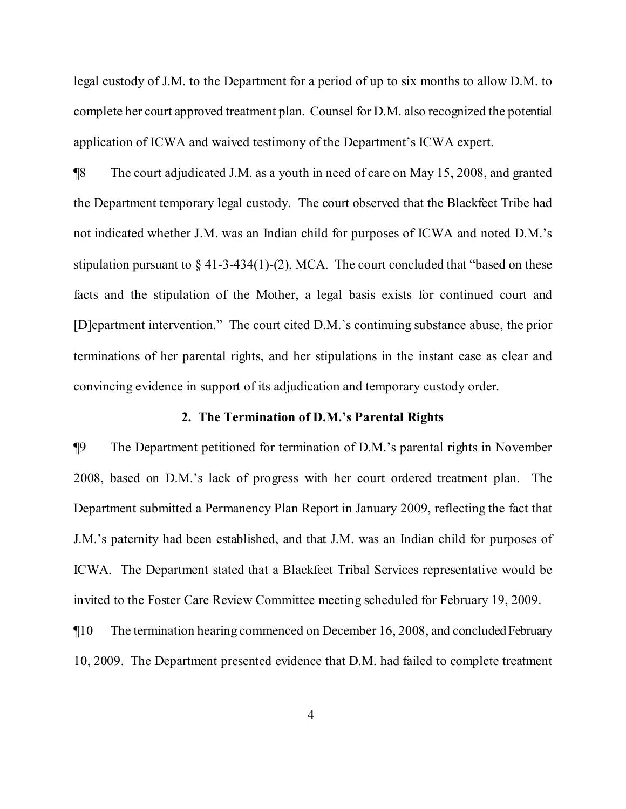legal custody of J.M. to the Department for a period of up to six months to allow D.M. to complete her court approved treatment plan. Counsel for D.M. also recognized the potential application of ICWA and waived testimony of the Department's ICWA expert.

¶8 The court adjudicated J.M. as a youth in need of care on May 15, 2008, and granted the Department temporary legal custody. The court observed that the Blackfeet Tribe had not indicated whether J.M. was an Indian child for purposes of ICWA and noted D.M.'s stipulation pursuant to  $\S$  41-3-434(1)-(2), MCA. The court concluded that "based on these facts and the stipulation of the Mother, a legal basis exists for continued court and [D]epartment intervention." The court cited D.M.'s continuing substance abuse, the prior terminations of her parental rights, and her stipulations in the instant case as clear and convincing evidence in support of its adjudication and temporary custody order.

#### **2. The Termination of D.M.'s Parental Rights**

¶9 The Department petitioned for termination of D.M.'s parental rights in November 2008, based on D.M.'s lack of progress with her court ordered treatment plan. The Department submitted a Permanency Plan Report in January 2009, reflecting the fact that J.M.'s paternity had been established, and that J.M. was an Indian child for purposes of ICWA. The Department stated that a Blackfeet Tribal Services representative would be invited to the Foster Care Review Committee meeting scheduled for February 19, 2009.

¶10 The termination hearing commenced on December 16, 2008, and concludedFebruary 10, 2009. The Department presented evidence that D.M. had failed to complete treatment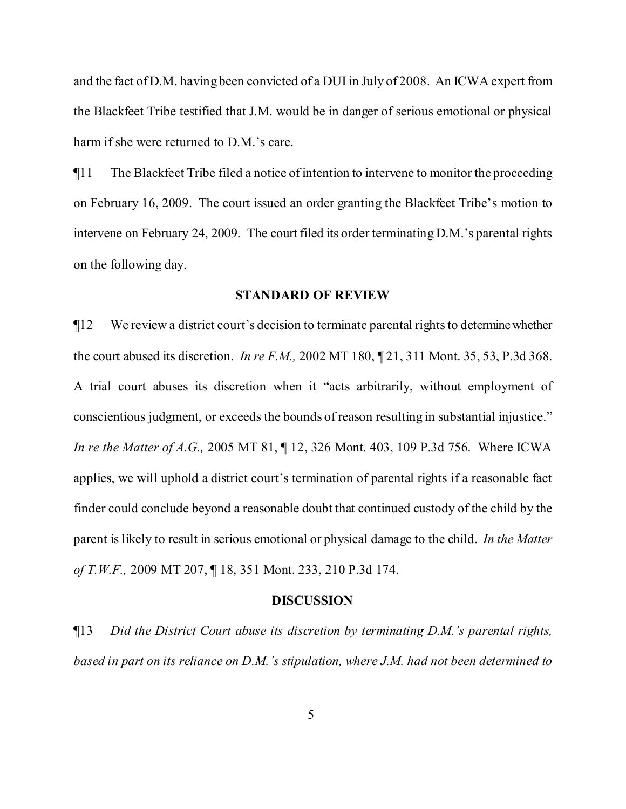and the fact of D.M. having been convicted of a DUI in July of 2008. An ICWA expert from the Blackfeet Tribe testified that J.M. would be in danger of serious emotional or physical harm if she were returned to D.M.'s care.

¶11 The Blackfeet Tribe filed a notice ofintention to intervene to monitor the proceeding on February 16, 2009. The court issued an order granting the Blackfeet Tribe's motion to intervene on February 24, 2009. The court filed its order terminating D.M.'s parental rights on the following day.

#### **STANDARD OF REVIEW**

 $\P$ 12 We review a district court's decision to terminate parental rights to determine whether the court abused its discretion. *In re F.M.,* 2002 MT 180, ¶ 21, 311 Mont. 35, 53, P.3d 368. A trial court abuses its discretion when it "acts arbitrarily, without employment of conscientious judgment, or exceeds the bounds of reason resulting in substantial injustice." *In re the Matter of A.G.,* 2005 MT 81, ¶ 12, 326 Mont. 403, 109 P.3d 756. Where ICWA applies, we will uphold a district court's termination of parental rights if a reasonable fact finder could conclude beyond a reasonable doubt that continued custody of the child by the parent is likely to result in serious emotional or physical damage to the child. *In the Matter of T.W.F.,* 2009 MT 207, ¶ 18, 351 Mont. 233, 210 P.3d 174.

#### **DISCUSSION**

¶13 *Did the District Court abuse its discretion by terminating D.M.'s parental rights, based in part on its reliance on D.M.'s stipulation, where J.M. had not been determined to*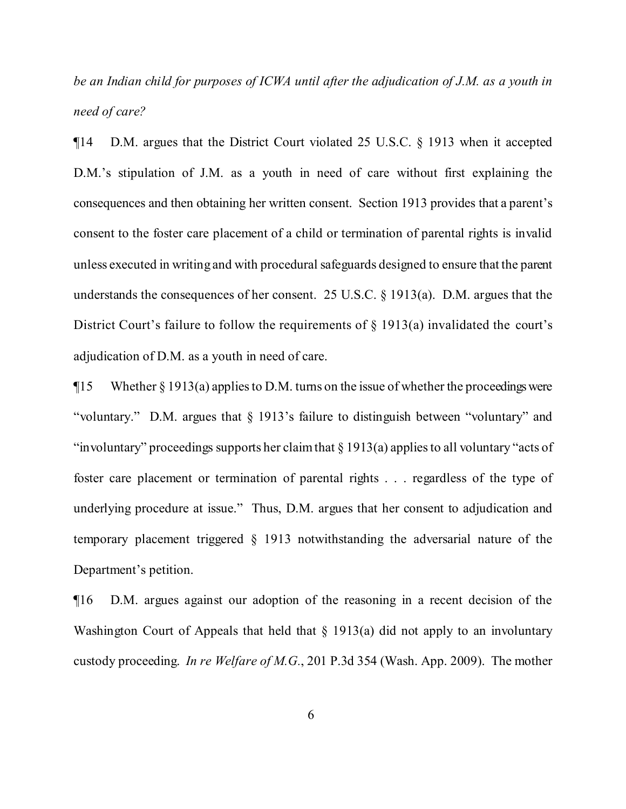*be an Indian child for purposes of ICWA until after the adjudication of J.M. as a youth in need of care?*

¶14 D.M. argues that the District Court violated 25 U.S.C. § 1913 when it accepted D.M.'s stipulation of J.M. as a youth in need of care without first explaining the consequences and then obtaining her written consent. Section 1913 provides that a parent's consent to the foster care placement of a child or termination of parental rights is invalid unless executed in writing and with procedural safeguards designed to ensure that the parent understands the consequences of her consent. 25 U.S.C. § 1913(a). D.M. argues that the District Court's failure to follow the requirements of  $\S$  1913(a) invalidated the court's adjudication of D.M. as a youth in need of care.

 $\P$ 15 Whether § 1913(a) applies to D.M. turns on the issue of whether the proceedings were "voluntary." D.M. argues that § 1913's failure to distinguish between "voluntary" and "involuntary" proceedings supports her claim that  $\S 1913(a)$  applies to all voluntary "acts of foster care placement or termination of parental rights . . . regardless of the type of underlying procedure at issue." Thus, D.M. argues that her consent to adjudication and temporary placement triggered § 1913 notwithstanding the adversarial nature of the Department's petition.

¶16 D.M. argues against our adoption of the reasoning in a recent decision of the Washington Court of Appeals that held that  $\S$  1913(a) did not apply to an involuntary custody proceeding. *In re Welfare of M.G.*, 201 P.3d 354 (Wash. App. 2009). The mother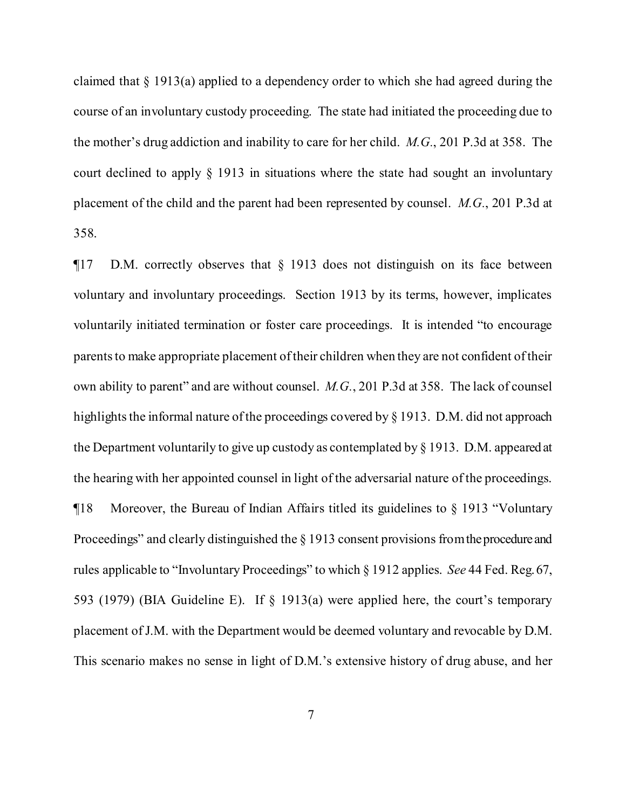claimed that § 1913(a) applied to a dependency order to which she had agreed during the course of an involuntary custody proceeding. The state had initiated the proceeding due to the mother's drug addiction and inability to care for her child. *M.G.*, 201 P.3d at 358. The court declined to apply § 1913 in situations where the state had sought an involuntary placement of the child and the parent had been represented by counsel. *M.G.*, 201 P.3d at 358.

¶17 D.M. correctly observes that § 1913 does not distinguish on its face between voluntary and involuntary proceedings. Section 1913 by its terms, however, implicates voluntarily initiated termination or foster care proceedings. It is intended "to encourage parents to make appropriate placement of their children when they are not confident of their own ability to parent" and are without counsel. *M.G.*, 201 P.3d at 358. The lack of counsel highlights the informal nature of the proceedings covered by  $\S$  1913. D.M. did not approach the Department voluntarily to give up custody as contemplated by § 1913. D.M. appeared at the hearing with her appointed counsel in light of the adversarial nature of the proceedings. ¶18 Moreover, the Bureau of Indian Affairs titled its guidelines to § 1913 "Voluntary Proceedings" and clearly distinguished the § 1913 consent provisions from the procedure and rules applicable to "Involuntary Proceedings" to which § 1912 applies. *See* 44 Fed. Reg.67, 593 (1979) (BIA Guideline E). If § 1913(a) were applied here, the court's temporary placement ofJ.M. with the Department would be deemed voluntary and revocable by D.M. This scenario makes no sense in light of D.M.'s extensive history of drug abuse, and her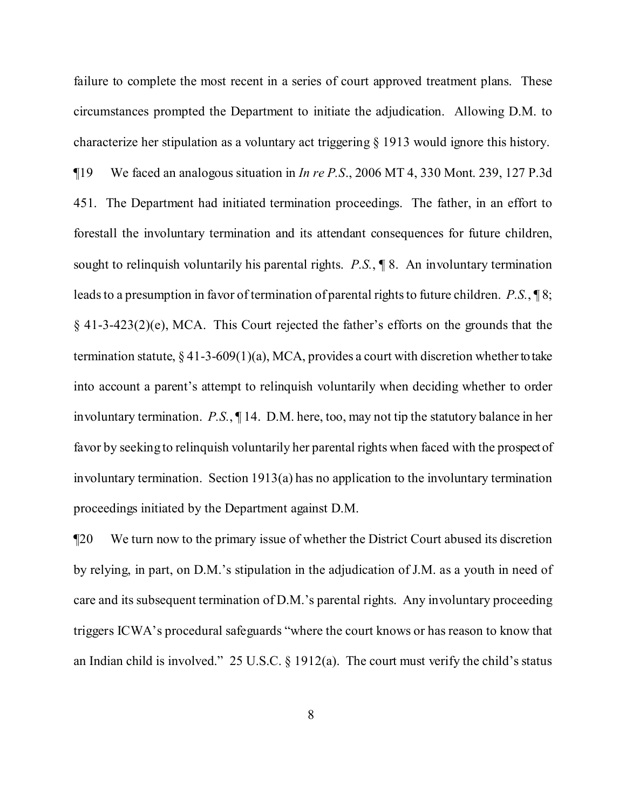failure to complete the most recent in a series of court approved treatment plans. These circumstances prompted the Department to initiate the adjudication. Allowing D.M. to characterize her stipulation as a voluntary act triggering § 1913 would ignore this history. ¶19 We faced an analogous situation in *In re P.S*., 2006 MT 4, 330 Mont. 239, 127 P.3d 451. The Department had initiated termination proceedings. The father, in an effort to forestall the involuntary termination and its attendant consequences for future children, sought to relinquish voluntarily his parental rights. *P.S.*, ¶ 8. An involuntary termination leads to a presumption in favor of termination of parental rights to future children. *P.S.*, **18**; § 41-3-423(2)(e), MCA. This Court rejected the father's efforts on the grounds that the termination statute,  $\S 41-3-609(1)(a)$ , MCA, provides a court with discretion whether to take into account a parent's attempt to relinquish voluntarily when deciding whether to order involuntary termination. *P.S.*, ¶ 14. D.M. here, too, may not tip the statutory balance in her favor by seeking to relinquish voluntarily her parental rights when faced with the prospect of involuntary termination. Section 1913(a) has no application to the involuntary termination proceedings initiated by the Department against D.M.

¶20 We turn now to the primary issue of whether the District Court abused its discretion by relying, in part, on D.M.'s stipulation in the adjudication of J.M. as a youth in need of care and its subsequent termination of D.M.'s parental rights. Any involuntary proceeding triggers ICWA's procedural safeguards "where the court knows or has reason to know that an Indian child is involved." 25 U.S.C. § 1912(a). The court must verify the child's status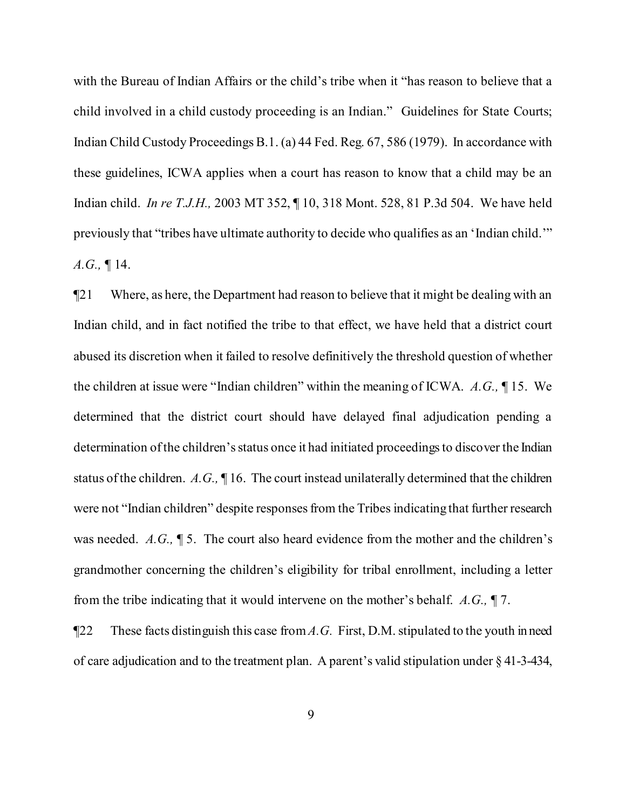with the Bureau of Indian Affairs or the child's tribe when it "has reason to believe that a child involved in a child custody proceeding is an Indian." Guidelines for State Courts; Indian Child Custody ProceedingsB.1. (a) 44 Fed. Reg. 67, 586 (1979). In accordance with these guidelines, ICWA applies when a court has reason to know that a child may be an Indian child. *In re T.J.H.,* 2003 MT 352, ¶ 10, 318 Mont. 528, 81 P.3d 504. We have held previously that "tribes have ultimate authority to decide who qualifies as an 'Indian child.'"

*A.G.,* ¶ 14.

¶21 Where, as here, the Department had reason to believe that it might be dealing with an Indian child, and in fact notified the tribe to that effect, we have held that a district court abused its discretion when it failed to resolve definitively the threshold question of whether the children at issue were "Indian children" within the meaning of ICWA. *A.G.,* ¶ 15. We determined that the district court should have delayed final adjudication pending a determination of the children's status once it had initiated proceedings to discover the Indian status ofthe children. *A.G.,* ¶ 16. The court instead unilaterally determined that the children were not "Indian children" despite responses from the Tribes indicating that further research was needed. *A.G.,* ¶ 5. The court also heard evidence from the mother and the children's grandmother concerning the children's eligibility for tribal enrollment, including a letter from the tribe indicating that it would intervene on the mother's behalf. *A.G.,* ¶ 7.

¶22 These facts distinguish this case from*A.G.* First, D.M.stipulated to the youth in need of care adjudication and to the treatment plan. A parent's valid stipulation under § 41-3-434,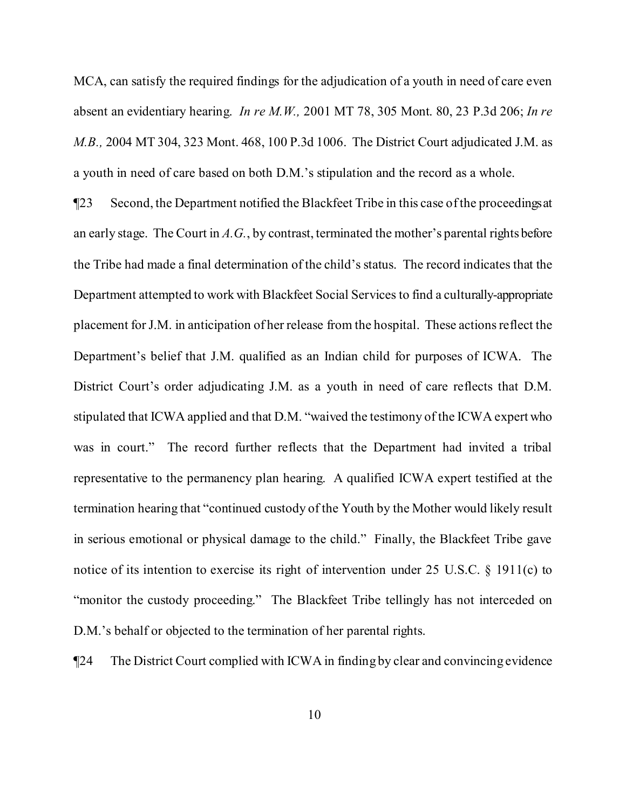MCA, can satisfy the required findings for the adjudication of a youth in need of care even absent an evidentiary hearing. *In re M.W.,* 2001 MT 78, 305 Mont. 80, 23 P.3d 206; *In re M.B.,* 2004 MT 304, 323 Mont. 468, 100 P.3d 1006. The District Court adjudicated J.M. as a youth in need of care based on both D.M.'s stipulation and the record as a whole.

¶23 Second, the Department notified the Blackfeet Tribe in this case ofthe proceedingsat an early stage. The Court in *A.G.*, by contrast, terminated the mother's parental rights before the Tribe had made a final determination of the child's status. The record indicates that the Department attempted to work with Blackfeet Social Services to find a culturally-appropriate placement for J.M. in anticipation of her release from the hospital. These actions reflect the Department's belief that J.M. qualified as an Indian child for purposes of ICWA. The District Court's order adjudicating J.M. as a youth in need of care reflects that D.M. stipulated that ICWA applied and that D.M. "waived the testimony of the ICWA expert who was in court." The record further reflects that the Department had invited a tribal representative to the permanency plan hearing. A qualified ICWA expert testified at the termination hearing that "continued custody of the Youth by the Mother would likely result in serious emotional or physical damage to the child." Finally, the Blackfeet Tribe gave notice of its intention to exercise its right of intervention under 25 U.S.C. § 1911(c) to "monitor the custody proceeding." The Blackfeet Tribe tellingly has not interceded on D.M.'s behalf or objected to the termination of her parental rights.

¶24 The District Court complied with ICWA in finding by clear and convincing evidence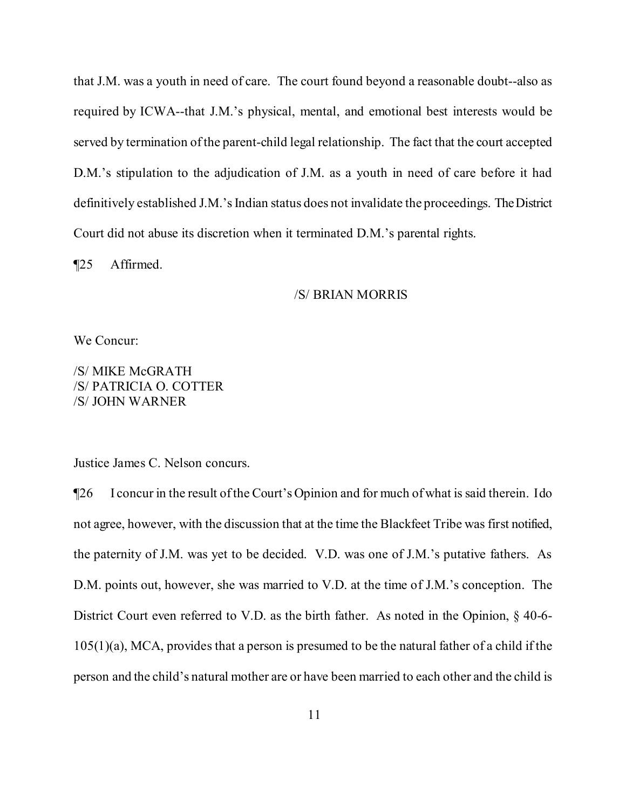that J.M. was a youth in need of care. The court found beyond a reasonable doubt--also as required by ICWA--that J.M.'s physical, mental, and emotional best interests would be served by termination ofthe parent-child legal relationship. The fact that the court accepted D.M.'s stipulation to the adjudication of J.M. as a youth in need of care before it had definitively established J.M.'s Indian status does not invalidate the proceedings. The District Court did not abuse its discretion when it terminated D.M.'s parental rights.

¶25 Affirmed.

# /S/ BRIAN MORRIS

We Concur:

/S/ MIKE McGRATH /S/ PATRICIA O. COTTER /S/ JOHN WARNER

Justice James C. Nelson concurs.

¶26 I concur in the result ofthe Court's Opinion and for much of what is said therein. Ido not agree, however, with the discussion that at the time the Blackfeet Tribe was first notified, the paternity of J.M. was yet to be decided. V.D. was one of J.M.'s putative fathers. As D.M. points out, however, she was married to V.D. at the time of J.M.'s conception. The District Court even referred to V.D. as the birth father. As noted in the Opinion, § 40-6- 105(1)(a), MCA, provides that a person is presumed to be the natural father of a child if the person and the child's natural mother are or have been married to each other and the child is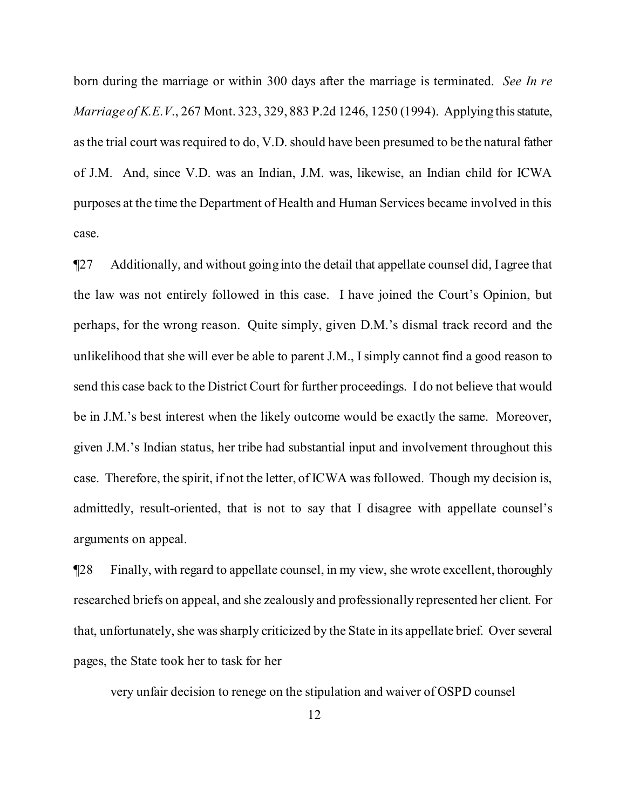born during the marriage or within 300 days after the marriage is terminated. *See In re Marriage of K.E.V*., 267 Mont. 323, 329, 883 P.2d 1246, 1250 (1994). Applying thisstatute, as the trial court was required to do, V.D. should have been presumed to be the natural father of J.M. And, since V.D. was an Indian, J.M. was, likewise, an Indian child for ICWA purposes at the time the Department of Health and Human Services became involved in this case.

¶27 Additionally, and without going into the detail that appellate counsel did, I agree that the law was not entirely followed in this case. I have joined the Court's Opinion, but perhaps, for the wrong reason. Quite simply, given D.M.'s dismal track record and the unlikelihood that she will ever be able to parent J.M., Isimply cannot find a good reason to send this case back to the District Court for further proceedings. I do not believe that would be in J.M.'s best interest when the likely outcome would be exactly the same. Moreover, given J.M.'s Indian status, her tribe had substantial input and involvement throughout this case. Therefore, the spirit, if not the letter, of ICWA was followed. Though my decision is, admittedly, result-oriented, that is not to say that I disagree with appellate counsel's arguments on appeal.

¶28 Finally, with regard to appellate counsel, in my view, she wrote excellent, thoroughly researched briefs on appeal, and she zealously and professionally represented her client. For that, unfortunately, she was sharply criticized by the State in its appellate brief. Over several pages, the State took her to task for her

very unfair decision to renege on the stipulation and waiver of OSPD counsel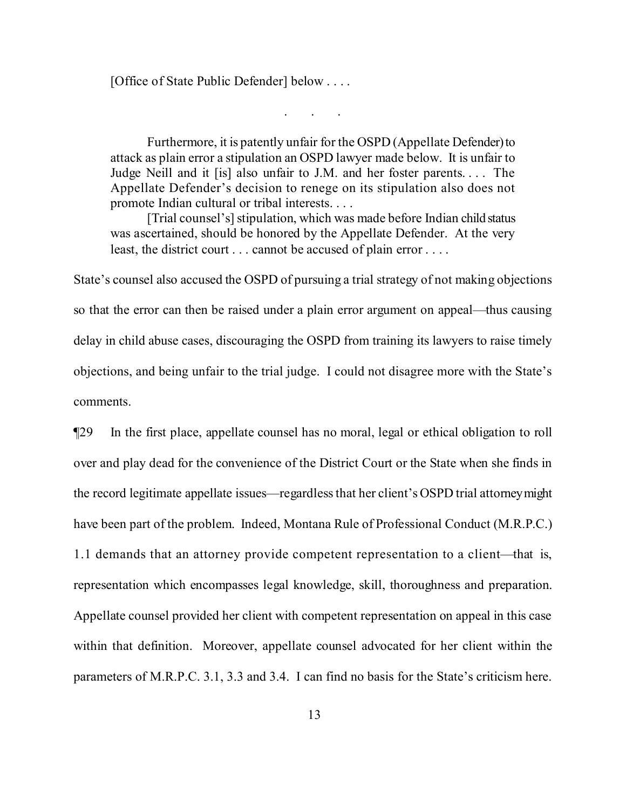[Office of State Public Defender] below . . . .

Furthermore, it is patently unfair for the OSPD (Appellate Defender) to attack as plain error a stipulation an OSPD lawyer made below. It is unfair to Judge Neill and it [is] also unfair to J.M. and her foster parents. . . . The Appellate Defender's decision to renege on its stipulation also does not promote Indian cultural or tribal interests. . . .

. . .

[Trial counsel's] stipulation, which was made before Indian child status was ascertained, should be honored by the Appellate Defender. At the very least, the district court . . . cannot be accused of plain error . . . .

State's counsel also accused the OSPD of pursuing a trial strategy of not making objections so that the error can then be raised under a plain error argument on appeal—thus causing delay in child abuse cases, discouraging the OSPD from training its lawyers to raise timely objections, and being unfair to the trial judge. I could not disagree more with the State's comments.

¶29 In the first place, appellate counsel has no moral, legal or ethical obligation to roll over and play dead for the convenience of the District Court or the State when she finds in the record legitimate appellate issues—regardlessthat her client's OSPD trial attorneymight have been part of the problem. Indeed, Montana Rule of Professional Conduct (M.R.P.C.) 1.1 demands that an attorney provide competent representation to a client—that is, representation which encompasses legal knowledge, skill, thoroughness and preparation. Appellate counsel provided her client with competent representation on appeal in this case within that definition. Moreover, appellate counsel advocated for her client within the parameters of M.R.P.C. 3.1, 3.3 and 3.4. I can find no basis for the State's criticism here.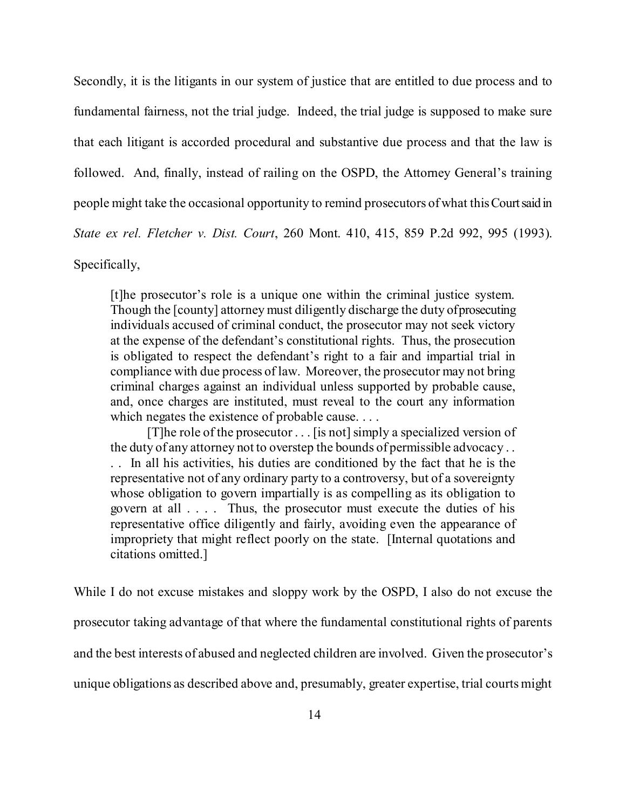Secondly, it is the litigants in our system of justice that are entitled to due process and to fundamental fairness, not the trial judge. Indeed, the trial judge is supposed to make sure that each litigant is accorded procedural and substantive due process and that the law is followed. And, finally, instead of railing on the OSPD, the Attorney General's training people might take the occasional opportunity to remind prosecutors of what thisCourtsaid in *State ex rel. Fletcher v. Dist. Court*, 260 Mont. 410, 415, 859 P.2d 992, 995 (1993). Specifically,

[t]he prosecutor's role is a unique one within the criminal justice system. Though the [county] attorney must diligently discharge the duty ofprosecuting individuals accused of criminal conduct, the prosecutor may not seek victory at the expense of the defendant's constitutional rights. Thus, the prosecution is obligated to respect the defendant's right to a fair and impartial trial in compliance with due process of law. Moreover, the prosecutor may not bring criminal charges against an individual unless supported by probable cause, and, once charges are instituted, must reveal to the court any information which negates the existence of probable cause....

[T]he role of the prosecutor  $\ldots$  [is not] simply a specialized version of the duty of any attorney not to overstep the bounds of permissible advocacy . . . . In all his activities, his duties are conditioned by the fact that he is the representative not of any ordinary party to a controversy, but of a sovereignty whose obligation to govern impartially is as compelling as its obligation to govern at all . . . . Thus, the prosecutor must execute the duties of his representative office diligently and fairly, avoiding even the appearance of impropriety that might reflect poorly on the state. [Internal quotations and citations omitted.]

While I do not excuse mistakes and sloppy work by the OSPD, I also do not excuse the prosecutor taking advantage of that where the fundamental constitutional rights of parents and the best interests of abused and neglected children are involved. Given the prosecutor's unique obligations as described above and, presumably, greater expertise, trial courts might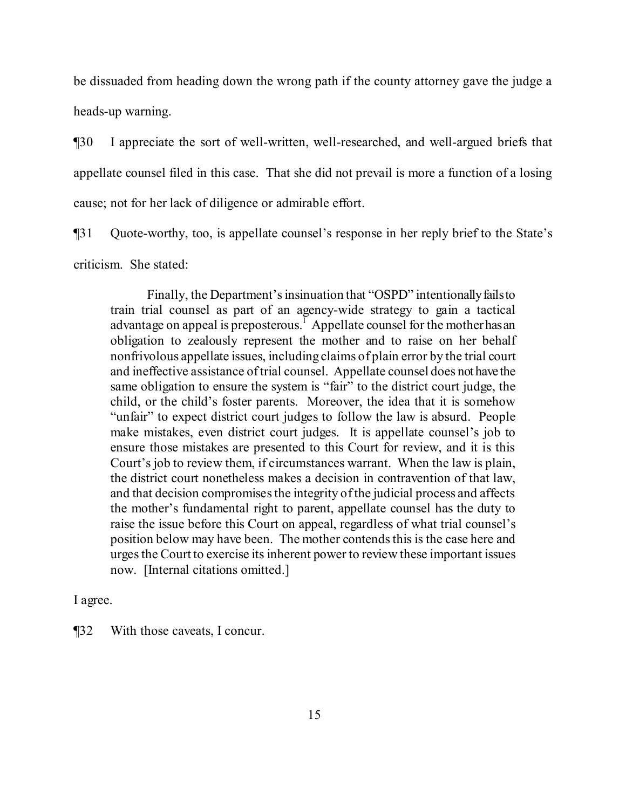be dissuaded from heading down the wrong path if the county attorney gave the judge a heads-up warning.

¶30 I appreciate the sort of well-written, well-researched, and well-argued briefs that appellate counsel filed in this case. That she did not prevail is more a function of a losing cause; not for her lack of diligence or admirable effort.

¶31 Quote-worthy, too, is appellate counsel's response in her reply brief to the State's criticism. She stated:

Finally, the Department's insinuation that "OSPD" intentionally fails to train trial counsel as part of an agency-wide strategy to gain a tactical advantage on appeal is preposterous.<sup>[1](#page-14-0)</sup> Appellate counsel for the mother has an obligation to zealously represent the mother and to raise on her behalf nonfrivolous appellate issues, including claims of plain error by the trial court and ineffective assistance oftrial counsel. Appellate counsel does not have the same obligation to ensure the system is "fair" to the district court judge, the child, or the child's foster parents. Moreover, the idea that it is somehow "unfair" to expect district court judges to follow the law is absurd. People make mistakes, even district court judges. It is appellate counsel's job to ensure those mistakes are presented to this Court for review, and it is this Court's job to review them, if circumstances warrant. When the law is plain, the district court nonetheless makes a decision in contravention of that law, and that decision compromises the integrity of the judicial process and affects the mother's fundamental right to parent, appellate counsel has the duty to raise the issue before this Court on appeal, regardless of what trial counsel's position below may have been. The mother contends this is the case here and urgesthe Court to exercise its inherent power to review these important issues now. [Internal citations omitted.]

I agree.

<span id="page-14-0"></span>¶32 With those caveats, I concur.